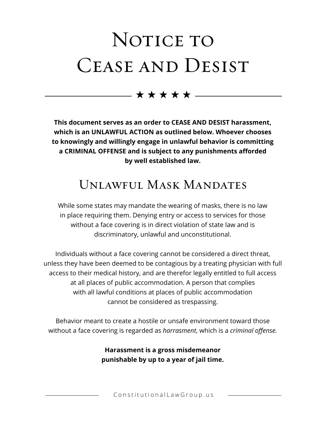# NOTICE TO CEASE AND DESIST

 $\rightarrow$  \* \* \* \*  $\rightarrow$ 

**This document serves as an order to CEASE AND DESIST harassment, which is an UNLAWFUL ACTION as outlined below. Whoever chooses to knowingly and willingly engage in unlawful behavior is committing a CRIMINAL OFFENSE and is subject to any punishments afforded by well established law.** 

### Unlawful Mask Mandates

While some states may mandate the wearing of masks, there is no law in place requiring them. Denying entry or access to services for those without a face covering is in direct violation of state law and is discriminatory, unlawful and unconstitutional.

Individuals without a face covering cannot be considered a direct threat, unless they have been deemed to be contagious by a treating physician with full access to their medical history, and are therefor legally entitled to full access at all places of public accommodation. A person that complies with all lawful conditions at places of public accommodation cannot be considered as trespassing.

Behavior meant to create a hostile or unsafe environment toward those without a face covering is regarded as *harrasment*, which is a *criminal offense.* 

> **Harassment is a gross misdemeanor punishable by up to a year of jail time.**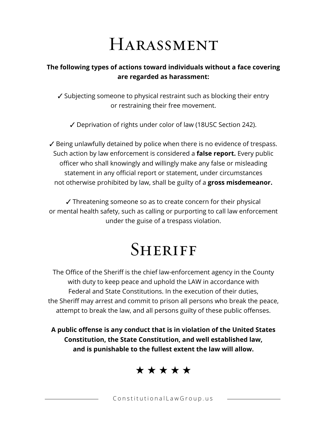## Harassment

### **The following types of actions toward individuals without a face covering are regarded as harassment:**

- $\checkmark$  Subjecting someone to physical restraint such as blocking their entry or restraining their free movement.
	- 3 Deprivation of rights under color of law (18USC Section 242).

 $\checkmark$  Being unlawfully detained by police when there is no evidence of trespass. Such action by law enforcement is considered a **false report.** Every public officer who shall knowingly and willingly make any false or misleading statement in any official report or statement, under circumstances not otherwise prohibited by law, shall be guilty of a **gross misdemeanor.**

 $\checkmark$  Threatening someone so as to create concern for their physical or mental health safety, such as calling or purporting to call law enforcement under the guise of a trespass violation.

### **SHERIFF**

The Office of the Sheriff is the chief law-enforcement agency in the County with duty to keep peace and uphold the LAW in accordance with Federal and State Constitutions. In the execution of their duties, the Sheriff may arrest and commit to prison all persons who break the peace, attempt to break the law, and all persons guilty of these public offenses.

**A public offense is any conduct that is in violation of the United States Constitution, the State Constitution, and well established law, and is punishable to the fullest extent the law will allow.**

\* \* \* \* \*

ConstitutionalLawGroup.us